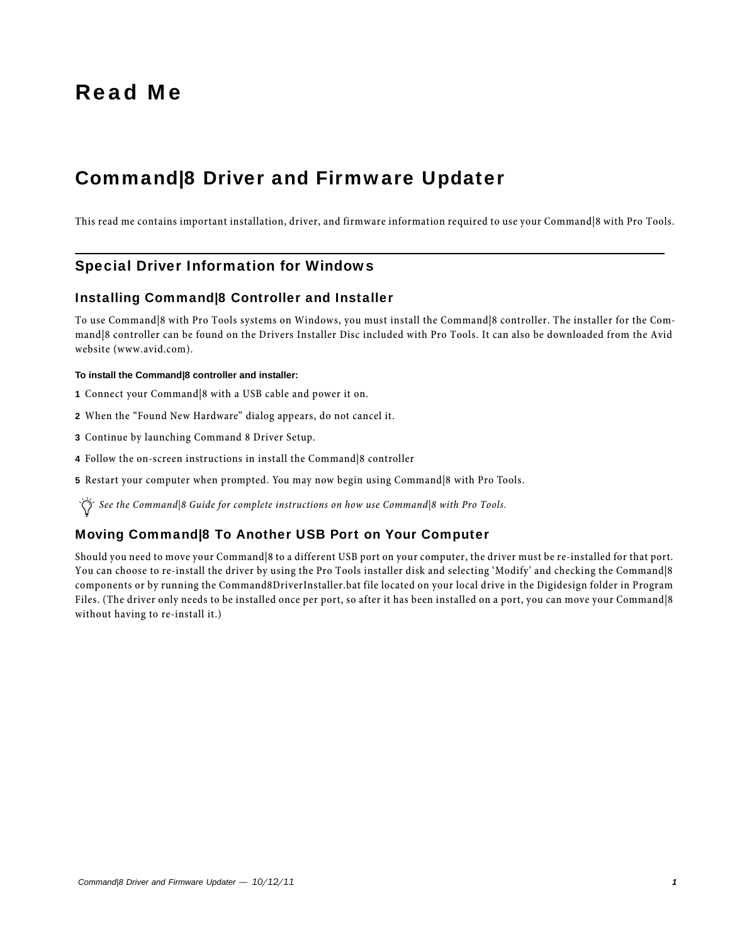# Read Me

## Command|8 Driver and Firmware Updater

This read me contains important installation, driver, and firmware information required to use your Command|8 with Pro Tools.

## Special Driver Information for Windows

#### Installing Command|8 Controller and Installer

To use Command|8 with Pro Tools systems on Windows, you must install the Command|8 controller. The installer for the Command|8 controller can be found on the Drivers Installer Disc included with Pro Tools. It can also be downloaded from the Avid website (www.avid.com).

#### **To install the Command|8 controller and installer:**

- **1** Connect your Command|8 with a USB cable and power it on.
- **2** When the "Found New Hardware" dialog appears, do not cancel it.
- **3** Continue by launching Command 8 Driver Setup.
- **4** Follow the on-screen instructions in install the Command|8 controller
- **5** Restart your computer when prompted. You may now begin using Command|8 with Pro Tools.

*See the Command|8 Guide for complete instructions on how use Command|8 with Pro Tools.*

### Moving Command|8 To Another USB Port on Your Computer

Should you need to move your Command|8 to a different USB port on your computer, the driver must be re-installed for that port. You can choose to re-install the driver by using the Pro Tools installer disk and selecting 'Modify' and checking the Command|8 components or by running the Command8DriverInstaller.bat file located on your local drive in the Digidesign folder in Program Files. (The driver only needs to be installed once per port, so after it has been installed on a port, you can move your Command|8 without having to re-install it.)